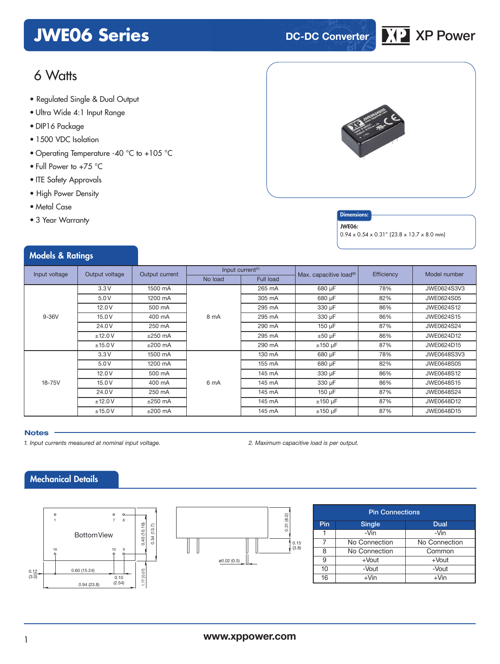# **JWE06 Series DC-DC Converter XP** XP Power



# 6 Watts

- **xxx Series** Regulated Single & Dual Output
- Ultra Wide 4:1 Input Range
- DIP16 Package
- 1500 VDC Isolation
- Operating Temperature -40 °C to +105 °C
- Full Power to +75 °C
- ITE Safety Approvals
- High Power Density
- Metal Case
- 3 Year Warranty



### **Dimensions**

#### JWE06:

 $0.94 \times 0.54 \times 0.31''$  (23.8 x 13.7 x 8.0 mm)

|  | <b>Models &amp; Ratings</b> |  |  |
|--|-----------------------------|--|--|
|--|-----------------------------|--|--|

| Input voltage<br>Output voltage |                     | Output current | Input current <sup>(1)</sup> |              | Max. capacitive load <sup>(2)</sup> | Efficiency | Model number |
|---------------------------------|---------------------|----------------|------------------------------|--------------|-------------------------------------|------------|--------------|
|                                 |                     | No load        | <b>Full load</b>             |              |                                     |            |              |
|                                 | 3.3V                | 1500 mA        |                              | 265 mA       | 680 µF                              | 78%        | JWE0624S3V3  |
|                                 | 5.0V                | 1200 mA        |                              | 305 mA       | 680 µF                              | 82%        | JWE0624S05   |
|                                 | 12.0V               | 500 mA         |                              | 295 mA       | 330 µF                              | 86%        | JWE0624S12   |
| $9-36V$                         | 15.0V               | 400 mA         | 8 mA                         | 295 mA       | 330 µF                              | 86%        | JWE0624S15   |
|                                 | 24.0V               | 250 mA         |                              | 290 mA       | 150 µF                              | 87%        | JWE0624S24   |
|                                 | ±12.0V              | $±250$ mA      |                              | 295 mA       | $±50 \mu F$                         | 86%        | JWE0624D12   |
|                                 | ±15.0V              | $±200$ mA      |                              | 290 mA       | $±150 \mu F$                        | 87%        | JWE0624D15   |
|                                 | 3.3V                | 1500 mA        |                              | 130 mA       | 680 µF                              | 78%        | JWE0648S3V3  |
|                                 | 5.0V                | 1200 mA        |                              | 155 mA       | 680 µF                              | 82%        | JWE0648S05   |
|                                 | 12.0V               | 500 mA         |                              | 145 mA       | 330 µF                              | 86%        | JWE0648S12   |
| 18-75V                          | 15.0 V              | 400 mA         | 6 mA                         | 145 mA       | 330 µF                              | 86%        | JWE0648S15   |
|                                 | 24.0V               | 250 mA         |                              | 145 mA       | 150 µF                              | 87%        | JWE0648S24   |
|                                 | ±12.0V<br>$±250$ mA |                | 145 mA                       | $±150 \mu F$ | 87%                                 | JWE0648D12 |              |
|                                 | ±15.0V              | $±200$ mA      |                              | 145 mA       | $±150 \mu F$                        | 87%        | JWE0648D15   |

#### **Notes**

*1. Input currents measured at nominal input voltage. 2. Maximum capacitive load is per output.*

# Mechanical Details





|     | <b>Pin Connections</b> |               |  |  |  |  |
|-----|------------------------|---------------|--|--|--|--|
| Pin | <b>Single</b>          | Dual          |  |  |  |  |
|     | $-Vin$                 | -Vin          |  |  |  |  |
|     | No Connection          | No Connection |  |  |  |  |
| 8   | No Connection          | Common        |  |  |  |  |
| 9   | $+$ Vout               | $+$ Vout      |  |  |  |  |
| 10  | -Vout                  | -Vout         |  |  |  |  |
| 16  | $+V$ in                | $+V$ in       |  |  |  |  |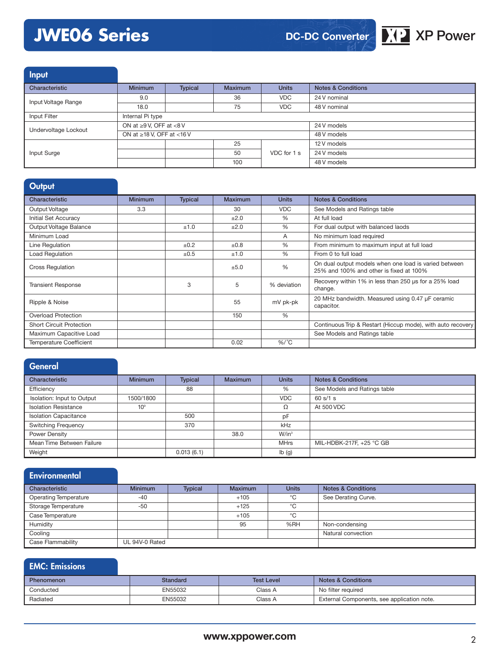# **JWE06 Series XP XP Power**



Input

| Characteristic       | <b>Minimum</b>                  | Typical | <b>Maximum</b> | <b>Units</b> | <b>Notes &amp; Conditions</b> |
|----------------------|---------------------------------|---------|----------------|--------------|-------------------------------|
| Input Voltage Range  | 9.0                             |         | 36             | <b>VDC</b>   | 24 V nominal                  |
|                      | 18.0                            |         | 75             | <b>VDC</b>   | 48 V nominal                  |
| Input Filter         | Internal Pi type                |         |                |              |                               |
| Undervoltage Lockout | ON at $\geq 9$ V, OFF at <8 V   |         |                | 24 V models  |                               |
|                      | ON at $\geq$ 18 V, OFF at <16 V |         |                |              | 48 V models                   |
|                      |                                 |         | 25             |              | 12 V models                   |
| Input Surge          |                                 |         | 50             | VDC for 1 s  | 24 V models                   |
|                      |                                 |         | 100            |              | 48 V models                   |

# **Output**

| Characteristic                  | <b>Minimum</b> | <b>Typical</b> | Maximum   | <b>Units</b> | <b>Notes &amp; Conditions</b>                                                                    |
|---------------------------------|----------------|----------------|-----------|--------------|--------------------------------------------------------------------------------------------------|
| Output Voltage                  | 3.3            |                | 30        | <b>VDC</b>   | See Models and Ratings table                                                                     |
| Initial Set Accuracy            |                |                | ±2.0      | %            | At full load                                                                                     |
| Output Voltage Balance          |                | ±1.0           | ±2.0      | $\%$         | For dual output with balanced laods                                                              |
| Minimum Load                    |                |                |           | A            | No minimum load required                                                                         |
| Line Regulation                 |                | ±0.2           | $\pm 0.8$ | %            | From minimum to maximum input at full load                                                       |
| Load Regulation                 |                | ±0.5           | ±1.0      | $\%$         | From 0 to full load                                                                              |
| <b>Cross Regulation</b>         |                |                | ±5.0      | %            | On dual output models when one load is varied between<br>25% and 100% and other is fixed at 100% |
| <b>Transient Response</b>       |                | 3              | 5         | % deviation  | Recovery within 1% in less than 250 us for a 25% load<br>change.                                 |
| Ripple & Noise                  |                |                | 55        | mV pk-pk     | 20 MHz bandwidth. Measured using 0.47 µF ceramic<br>capacitor.                                   |
| <b>Overload Protection</b>      |                |                | 150       | %            |                                                                                                  |
| <b>Short Circuit Protection</b> |                |                |           |              | Continuous Trip & Restart (Hiccup mode), with auto recovery                                      |
| Maximum Capacitive Load         |                |                |           |              | See Models and Ratings table                                                                     |
| <b>Temperature Coefficient</b>  |                |                | 0.02      | $\%$ /°C     |                                                                                                  |

# General

| Characteristic               | <b>Minimum</b>  | <b>Typical</b> | <b>Maximum</b> | <b>Units</b>              | <b>Notes &amp; Conditions</b> |
|------------------------------|-----------------|----------------|----------------|---------------------------|-------------------------------|
| Efficiency                   |                 | 88             |                | %                         | See Models and Ratings table  |
| Isolation: Input to Output   | 1500/1800       |                |                | <b>VDC</b>                | 60 s/1 s                      |
| <b>Isolation Resistance</b>  | 10 <sup>9</sup> |                |                | Ω                         | At 500 VDC                    |
| <b>Isolation Capacitance</b> |                 | 500            |                | pF                        |                               |
| <b>Switching Frequency</b>   |                 | 370            |                | kHz                       |                               |
| Power Density                |                 |                | 38.0           | W/in <sup>3</sup>         |                               |
| Mean Time Between Failure    |                 |                |                | <b>MHrs</b>               | MIL-HDBK-217F, +25 °C GB      |
| Weight                       |                 | 0.013(6.1)     |                | $\mathsf{lb}(\mathsf{g})$ |                               |

| Environmental                |                |                |                |              |                               |
|------------------------------|----------------|----------------|----------------|--------------|-------------------------------|
| Characteristic               | <b>Minimum</b> | <b>Typical</b> | <b>Maximum</b> | <b>Units</b> | <b>Notes &amp; Conditions</b> |
| <b>Operating Temperature</b> | $-40$          |                | $+105$         | °C           | See Derating Curve.           |
| Storage Temperature          | $-50$          |                | $+125$         | °C           |                               |
| Case Temperature             |                |                | $+105$         | °C           |                               |
| Humidity                     |                |                | 95             | %RH          | Non-condensing                |
| Cooling                      |                |                |                |              | Natural convection            |
| Case Flammability            | UL 94V-0 Rated |                |                |              |                               |

### EMC: Emissions Phenomenon **Standard** Standard Test Level Notes & Conditions Conducted EN55032 EN55032 Class A No filter required Radiated **EN55032** EN55032 Class A External Components, see application note.